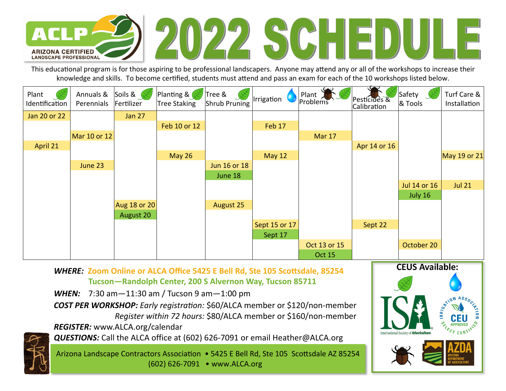

This educational program is for those aspiring to be professional landscapers. Anyone may attend any or all of the workshops to increase their knowledge and skills. To become certified, students must attend and pass an exam for each of the 10 workshops listed below.

| Plant<br>Identification | Annuals &<br>Perennials | Soils &<br>Fertilizer | Planting &<br>Tree Staking | Tree &<br>Shrub Pruning | Irrigation    | Plant<br>Problems | Pesticides &<br>Calibration | Safety<br>& Tools | Turf Care &<br>Installation |
|-------------------------|-------------------------|-----------------------|----------------------------|-------------------------|---------------|-------------------|-----------------------------|-------------------|-----------------------------|
| Jan 20 or 22            |                         | <b>Jan 27</b>         |                            |                         |               |                   |                             |                   |                             |
|                         |                         |                       | Feb 10 or 12               |                         | Feb 17        |                   |                             |                   |                             |
|                         | Mar 10 or 12            |                       |                            |                         |               | Mar 17            |                             |                   |                             |
| April 21                |                         |                       |                            |                         |               |                   | Apr 14 or 16                |                   |                             |
|                         |                         |                       | <b>May 26</b>              |                         | <b>May 12</b> |                   |                             |                   | May 19 or 21                |
|                         | June 23                 |                       |                            | Jun 16 or 18            |               |                   |                             |                   |                             |
|                         |                         |                       |                            | June 18                 |               |                   |                             |                   |                             |
|                         |                         |                       |                            |                         |               |                   |                             | Jul 14 or 16      | <b>Jul 21</b>               |
|                         |                         |                       |                            |                         |               |                   |                             | July 16           |                             |
|                         |                         | <b>Aug 18 or 20</b>   |                            | <b>August 25</b>        |               |                   |                             |                   |                             |
|                         |                         | August 20             |                            |                         |               |                   |                             |                   |                             |
|                         |                         |                       |                            |                         | Sept 15 or 17 |                   | Sept 22                     |                   |                             |
|                         |                         |                       |                            |                         | Sept 17       |                   |                             |                   |                             |
|                         |                         |                       |                            |                         |               | Oct 13 or 15      |                             | October 20        |                             |
|                         |                         |                       |                            |                         |               | <b>Oct 15</b>     |                             |                   |                             |

*WHERE:* **Zoom Online or ALCA Office 5425 E Bell Rd, Ste 105 ScoƩsdale, 85254 Tucson—Randolph Center, 200 S Alvernon Way, Tucson 85711** 

*WHEN:* 7:30 am—11:30 am / Tucson 9 am—1:00 pm

*COST PER WORKSHOP: Early registraƟon:* \$60/ALCA member or \$120/non‐member *Register within 72 hours:* \$80/ALCA member or \$160/non‐member

*REGISTER:* www.ALCA.org/calendar

*QUESTIONS:* Call the ALCA office at (602) 626‐7091 or email Heather@ALCA.org



Arizona Landscape Contractors Association • 5425 E Bell Rd, Ste 105 Scottsdale AZ 85254

(602) 626‐7091 • www.ALCA.org